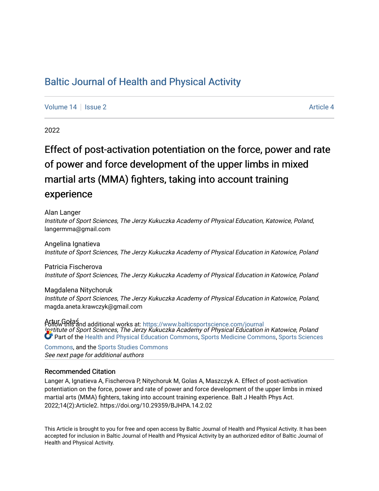## [Baltic Journal of Health and Physical Activity](https://www.balticsportscience.com/journal)

[Volume 14](https://www.balticsportscience.com/journal/vol14) Suitsue 2 [Article 4](https://www.balticsportscience.com/journal/vol14/iss2/4) Article 4

2022

# Effect of post-activation potentiation on the force, power and rate of power and force development of the upper limbs in mixed martial arts (MMA) fighters, taking into account training experience

Alan Langer

Institute of Sport Sciences, The Jerzy Kukuczka Academy of Physical Education, Katowice, Poland, langermma@gmail.com

Angelina Ignatieva Institute of Sport Sciences, The Jerzy Kukuczka Academy of Physical Education in Katowice, Poland

Patricia Fischerova Institute of Sport Sciences, The Jerzy Kukuczka Academy of Physical Education in Katowice, Poland

Magdalena Nitychoruk Institute of Sport Sciences, The Jerzy Kukuczka Academy of Physical Education in Katowice, Poland, magda.aneta.krawczyk@gmail.com

Artur Gołaś Institute of Sport Sciences, The Jerzy Kukuczka Academy of Physical Education in Katowice, Poland Follow this and additional works at: [https://www.balticsportscience.com/journal](https://www.balticsportscience.com/journal?utm_source=www.balticsportscience.com%2Fjournal%2Fvol14%2Fiss2%2F4&utm_medium=PDF&utm_campaign=PDFCoverPages)  Part of the [Health and Physical Education Commons](https://network.bepress.com/hgg/discipline/1327?utm_source=www.balticsportscience.com%2Fjournal%2Fvol14%2Fiss2%2F4&utm_medium=PDF&utm_campaign=PDFCoverPages), [Sports Medicine Commons,](https://network.bepress.com/hgg/discipline/1331?utm_source=www.balticsportscience.com%2Fjournal%2Fvol14%2Fiss2%2F4&utm_medium=PDF&utm_campaign=PDFCoverPages) [Sports Sciences](https://network.bepress.com/hgg/discipline/759?utm_source=www.balticsportscience.com%2Fjournal%2Fvol14%2Fiss2%2F4&utm_medium=PDF&utm_campaign=PDFCoverPages)

See next page for additional authors [Commons](https://network.bepress.com/hgg/discipline/759?utm_source=www.balticsportscience.com%2Fjournal%2Fvol14%2Fiss2%2F4&utm_medium=PDF&utm_campaign=PDFCoverPages), and the [Sports Studies Commons](https://network.bepress.com/hgg/discipline/1198?utm_source=www.balticsportscience.com%2Fjournal%2Fvol14%2Fiss2%2F4&utm_medium=PDF&utm_campaign=PDFCoverPages) 

### Recommended Citation

Langer A, Ignatieva A, Fischerova P, Nitychoruk M, Golas A, Maszczyk A. Effect of post-activation potentiation on the force, power and rate of power and force development of the upper limbs in mixed martial arts (MMA) fighters, taking into account training experience. Balt J Health Phys Act. 2022;14(2):Article2. https://doi.org/10.29359/BJHPA.14.2.02

This Article is brought to you for free and open access by Baltic Journal of Health and Physical Activity. It has been accepted for inclusion in Baltic Journal of Health and Physical Activity by an authorized editor of Baltic Journal of Health and Physical Activity.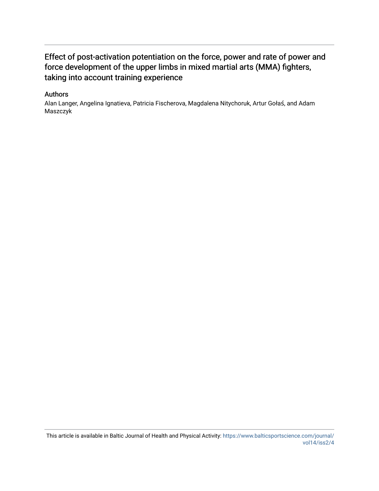## Effect of post-activation potentiation on the force, power and rate of power and force development of the upper limbs in mixed martial arts (MMA) fighters, taking into account training experience

### Authors

Alan Langer, Angelina Ignatieva, Patricia Fischerova, Magdalena Nitychoruk, Artur Gołaś, and Adam Maszczyk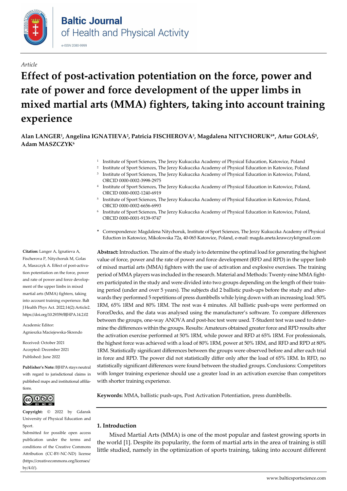

#### *Article*

# **Effect of post-activation potentiation on the force, power and rate of power and force development of the upper limbs in mixed martial arts (MMA) fighters, taking into account training experience**

**Alan LANGER1, Angelina IGNATIEVA2, Patricia FISCHEROVA3, Magdalena NITYCHORUK4\*, Artur GOŁAŚ5, Adam MASZCZYK6**

- <sup>1</sup> Institute of Sport Sciences, The Jerzy Kukuczka Academy of Physical Education, Katowice, Poland
- <sup>2</sup> Institute of Sport Sciences, The Jerzy Kukuczka Academy of Physical Education in Katowice, Poland Institute of Sport Sciences, The Jerzy Kukuczka Academy of Physical Education in Katowice, Poland, ORCI[D 0000-0002-3998-2975](http://orcid.org/0000-0002-3998-2975)
- <sup>4</sup> Institute of Sport Sciences, The Jerzy Kukuczka Academy of Physical Education in Katowice, Poland, ORCI[D 0000-0002-1240-6919](http://orcid.org/0000-0002-1240-6919)
- <sup>5</sup> Institute of Sport Sciences, The Jerzy Kukuczka Academy of Physical Education in Katowice, Poland, ORCI[D 0000-0002-6656-6993](http://orcid.org/0000-0002-6656-6993)
- <sup>6</sup> Institute of Sport Sciences, The Jerzy Kukuczka Academy of Physical Education in Katowice, Poland, ORCI[D 0000-0001-9139-9747](http://orcid.org/0000-0001-9139-9747)
- **\*** Correspondence: Magdalena Nitychoruk, Institute of Sport Sciences, The Jerzy Kukuczka Academy of Physical Eduction in Katowice, Mikolowska 72a, 40-065 Katowice, Poland, e-mail: magda.aneta.krawczyk@gmail.com

**Abstract:** Introduction. The aim of the study is to determine the optimal load for generating the highest value of force, power and the rate of power and force development (RFD and RPD) in the upper limb of mixed martial arts (MMA) fighters with the use of activation and explosive exercises. The training period of MMA players was included in the research. Material and Methods: Twenty-nine MMA fighters participated in the study and were divided into two groups depending on the length of their training period (under and over 5 years). The subjects did 2 ballistic push-ups before the study and afterwards they performed 5 repetitions of press dumbbells while lying down with an increasing load: 50% 1RM, 65% 1RM and 80% 1RM. The rest was 4 minutes. All ballistic push-ups were performed on ForceDecks, and the data was analysed using the manufacturer's software. To compare differences between the groups, one-way ANOVA and post-hoc test were used. T-Student test was used to determine the differences within the groups. Results: Amateurs obtained greater force and RPD results after the activation exercise performed at 50% 1RM, while power and RFD at 65% 1RM. For professionals, the highest force was achieved with a load of 80% 1RM, power at 50% 1RM, and RFD and RPD at 80% 1RM. Statistically significant differences between the groups were observed before and after each trial in force and RPD. The power did not statistically differ only after the load of 65% 1RM. In RFD, no statistically significant differences were found between the studied groups. Conclusions: Competitors with longer training experience should use a greater load in an activation exercise than competitors with shorter training experience.

**Keywords:** MMA, ballistic push-ups, Post Activation Potentiation, press dumbbells.

#### **1. Introduction**

Mixed Martial Arts (MMA) is one of the most popular and fastest growing sports in the world [1]. Despite its popularity, the form of martial arts in the area of training is still little studied, namely in the optimization of sports training, taking into account different

**Citation:** Langer A, Ignatieva A, Fischerova P, Nitychoruk M, Golas A, Maszczyk A. Effect of post-activation potentiation on the force, power and rate of power and force development of the upper limbs in mixed martial arts (MMA) fighters, taking into account training experience. Balt J Health Phys Act. 2022;14(2):Article2. https://doi.org/10.29359/BJHPA.14.2.02

Academic Editor: Agnieszka Maciejewska-Skrendo

Received: October 2021 Accepted: December 2021 Published: June 2022

**Publisher's Note:** BJHPA stays neutral with regard to jurisdictional claims in published maps and institutional affiliations.



**Copyright:** © 2022 by Gdansk University of Physical Education and Sport.

Submitted for possible open access publication under the terms and conditions of the Creative Commons Attribution (CC-BY-NC-ND) license (https://creativecommons.org/licenses/  $b$ y/4.0/ $)$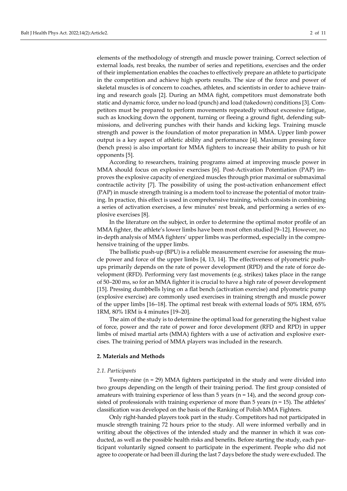elements of the methodology of strength and muscle power training. Correct selection of external loads, rest breaks, the number of series and repetitions, exercises and the order of their implementation enables the coaches to effectively prepare an athlete to participate in the competition and achieve high sports results. The size of the force and power of skeletal muscles is of concern to coaches, athletes, and scientists in order to achieve training and research goals [2]. During an MMA fight, competitors must demonstrate both static and dynamic force, under no load (punch) and load (takedown) conditions [3]. Competitors must be prepared to perform movements repeatedly without excessive fatigue, such as knocking down the opponent, turning or fleeing a ground fight, defending submissions, and delivering punches with their hands and kicking legs. Training muscle strength and power is the foundation of motor preparation in MMA. Upper limb power output is a key aspect of athletic ability and performance [4]. Maximum pressing force (bench press) is also important for MMA fighters to increase their ability to push or hit opponents [5].

According to researchers, training programs aimed at improving muscle power in MMA should focus on explosive exercises [6]. Post-Activation Potentiation (PAP) improves the explosive capacity of energized muscles through prior maximal or submaximal contractile activity [7]. The possibility of using the post-activation enhancement effect (PAP) in muscle strength training is a modern tool to increase the potential of motor training. In practice, this effect is used in comprehensive training, which consists in combining a series of activation exercises, a few minutes' rest break, and performing a series of explosive exercises [8].

In the literature on the subject, in order to determine the optimal motor profile of an MMA fighter, the athlete's lower limbs have been most often studied [9–12]. However, no in-depth analysis of MMA fighters' upper limbs was performed, especially in the comprehensive training of the upper limbs.

The ballistic push-up (BPU) is a reliable measurement exercise for assessing the muscle power and force of the upper limbs [4, 13, 14]. The effectiveness of plyometric pushups primarily depends on the rate of power development (RPD) and the rate of force development (RFD). Performing very fast movements (e.g. strikes) takes place in the range of 50–200 ms, so for an MMA fighter it is crucial to have a high rate of power development [15]. Pressing dumbbells lying on a flat bench (activation exercise) and plyometric pump (explosive exercise) are commonly used exercises in training strength and muscle power of the upper limbs [16–18]. The optimal rest break with external loads of 50% 1RM, 65% 1RM, 80% 1RM is 4 minutes [19–20].

The aim of the study is to determine the optimal load for generating the highest value of force, power and the rate of power and force development (RFD and RPD) in upper limbs of mixed martial arts (MMA) fighters with a use of activation and explosive exercises. The training period of MMA players was included in the research.

#### **2. Materials and Methods**

#### *2.1. Participants*

Twenty-nine (n = 29) MMA fighters participated in the study and were divided into two groups depending on the length of their training period. The first group consisted of amateurs with training experience of less than  $5$  years ( $n = 14$ ), and the second group consisted of professionals with training experience of more than 5 years (n = 15). The athletes' classification was developed on the basis of the Ranking of Polish MMA Fighters.

Only right-handed players took part in the study. Competitors had not participated in muscle strength training 72 hours prior to the study. All were informed verbally and in writing about the objectives of the intended study and the manner in which it was conducted, as well as the possible health risks and benefits. Before starting the study, each participant voluntarily signed consent to participate in the experiment. People who did not agree to cooperate or had been ill during the last 7 days before the study were excluded. The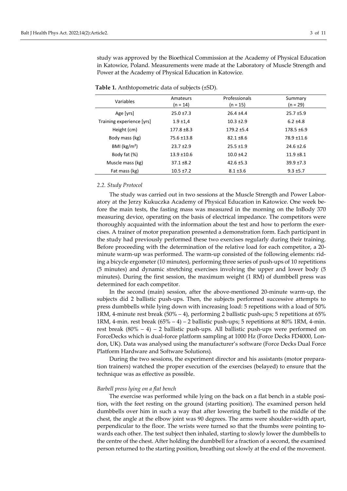study was approved by the Bioethical Commission at the Academy of Physical Education in Katowice, Poland. Measurements were made at the Laboratory of Muscle Strength and Power at the Academy of Physical Education in Katowice.

| Variables                 | Amateurs<br>$(n = 14)$ | Professionals<br>$(n = 15)$ | Summary<br>$(n = 29)$ |
|---------------------------|------------------------|-----------------------------|-----------------------|
| Age [yrs]                 | $25.0 \pm 7.3$         | $26.4 \pm 4.4$              | $25.7 + 5.9$          |
| Training experience [yrs] | $1.9 + 1.4$            | $10.3 + 2.9$                | $6.2 \pm 4.8$         |
| Height (cm)               | $177.8 \pm 8.3$        | $179.2 + 5.4$               | 178.5 ±6.9            |
| Body mass (kg)            | 75.6 ±13.8             | $82.1 \pm 8.6$              | 78.9 ±11.6            |
| BMI ( $\text{kg/m}^2$ )   | $23.7 + 2.9$           | $25.5 \pm 1.9$              | $24.6 \pm 2.6$        |
| Body fat (%)              | $13.9 + 10.6$          | $10.0 + 4.2$                | $11.9 + 8.1$          |
| Muscle mass (kg)          | $37.1 \pm 8.2$         | $42.6 \pm 5.3$              | $39.9 + 7.3$          |
| Fat mass (kg)             | $10.5 \pm 7.2$         | $8.1 \pm 3.6$               | $9.3 + 5.7$           |

**Table 1.** Anthtopometric data of subjects (±SD).

#### *2.2. Study Protocol*

The study was carried out in two sessions at the Muscle Strength and Power Laboratory at the Jerzy Kukuczka Academy of Physical Education in Katowice. One week before the main tests, the fasting mass was measured in the morning on the InBody 370 measuring device, operating on the basis of electrical impedance. The competitors were thoroughly acquainted with the information about the test and how to perform the exercises. A trainer of motor preparation presented a demonstration form. Each participant in the study had previously performed these two exercises regularly during their training. Before proceeding with the determination of the relative load for each competitor, a 20 minute warm-up was performed. The warm-up consisted of the following elements: riding a bicycle ergometer (10 minutes), performing three series of push-ups of 10 repetitions (5 minutes) and dynamic stretching exercises involving the upper and lower body (5 minutes). During the first session, the maximum weight (1 RM) of dumbbell press was determined for each competitor.

In the second (main) session, after the above-mentioned 20-minute warm-up, the subjects did 2 ballistic push-ups. Then, the subjects performed successive attempts to press dumbbells while lying down with increasing load: 5 repetitions with a load of 50% 1RM, 4-minute rest break (50% – 4), performing 2 ballistic push-ups; 5 repetitions at 65% 1RM, 4-min. rest break  $(65\% - 4) - 2$  ballistic push-ups; 5 repetitions at 80% 1RM, 4-min. rest break  $(80\% - 4) - 2$  ballistic push-ups. All ballistic push-ups were performed on ForceDecks which is dual-force platform sampling at 1000 Hz (Force Decks FD4000, London, UK). Data was analysed using the manufacturer's software (Force Decks Dual Force Platform Hardware and Software Solutions).

During the two sessions, the experiment director and his assistants (motor preparation trainers) watched the proper execution of the exercises (belayed) to ensure that the technique was as effective as possible.

#### *Barbell press lying on a flat bench*

The exercise was performed while lying on the back on a flat bench in a stable position, with the feet resting on the ground (starting position). The examined person held dumbbells over him in such a way that after lowering the barbell to the middle of the chest, the angle at the elbow joint was 90 degrees. The arms were shoulder-width apart, perpendicular to the floor. The wrists were turned so that the thumbs were pointing towards each other. The test subject then inhaled, starting to slowly lower the dumbbells to the centre of the chest. After holding the dumbbell for a fraction of a second, the examined person returned to the starting position, breathing out slowly at the end of the movement.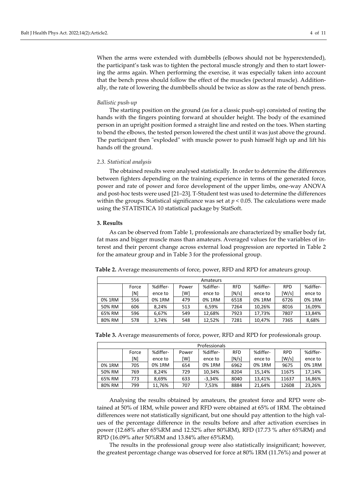When the arms were extended with dumbbells (elbows should not be hyperextended), the participant's task was to tighten the pectoral muscle strongly and then to start lowering the arms again. When performing the exercise, it was especially taken into account that the bench press should follow the effect of the muscles (pectoral muscle). Additionally, the rate of lowering the dumbbells should be twice as slow as the rate of bench press.

#### *Ballistic push-up*

The starting position on the ground (as for a classic push-up) consisted of resting the hands with the fingers pointing forward at shoulder height. The body of the examined person in an upright position formed a straight line and rested on the toes. When starting to bend the elbows, the tested person lowered the chest until it was just above the ground. The participant then "exploded" with muscle power to push himself high up and lift his hands off the ground.

#### *2.3. Statistical analysis*

The obtained results were analysed statistically. In order to determine the differences between fighters depending on the training experience in terms of the generated force, power and rate of power and force development of the upper limbs, one-way ANOVA and post-hoc tests were used [21–23]. T-Student test was used to determine the differences within the groups. Statistical significance was set at  $p < 0.05$ . The calculations were made using the STATISTICA 10 statistical package by StatSoft.

#### **3. Results**

As can be observed from Table 1, professionals are characterized by smaller body fat, fat mass and bigger muscle mass than amateurs. Averaged values for the variables of interest and their percent change across external load progression are reported in Table 2 for the amateur group and in Table 3 for the professional group.

| Table 2. Average measurements of force, power, RFD and RPD for amateurs group. |  |
|--------------------------------------------------------------------------------|--|
|                                                                                |  |

| Amateurs |       |          |       |          |            |          |            |          |
|----------|-------|----------|-------|----------|------------|----------|------------|----------|
|          | Force | %differ- | Power | %differ- | <b>RFD</b> | %differ- | <b>RPD</b> | %differ- |
|          | [N]   | ence to  | [W]   | ence to  | [N/s]      | ence to  | [W/s]      | ence to  |
| 0% 1RM   | 556   | 0% 1RM   | 479   | 0% 1RM   | 6518       | 0% 1RM   | 6726       | 0% 1RM   |
| 50% RM   | 606   | 8.24%    | 513   | 6.59%    | 7264       | 10.26%   | 8016       | 16,09%   |
| 65% RM   | 596   | 6.67%    | 549   | 12.68%   | 7923       | 17.73%   | 7807       | 13.84%   |
| 80% RM   | 578   | 3.74%    | 548   | 12.52%   | 7281       | 10.47%   | 7365       | 8,68%    |

|  | Table 3. Average measurements of force, power, RFD and RPD for professionals group. |  |  |  |  |
|--|-------------------------------------------------------------------------------------|--|--|--|--|
|  |                                                                                     |  |  |  |  |

| <b>Professionals</b> |       |          |       |          |            |          |            |          |
|----------------------|-------|----------|-------|----------|------------|----------|------------|----------|
|                      | Force | %differ- | Power | %differ- | <b>RFD</b> | %differ- | <b>RPD</b> | %differ- |
|                      | [N]   | ence to  | [W]   | ence to  | [N/s]      | ence to  | [W/s]      | ence to  |
| 0% 1RM               | 705   | 0% 1RM   | 654   | 0% 1RM   | 6962       | 0% 1RM   | 9675       | 0% 1RM   |
| 50% RM               | 769   | 8.24%    | 729   | 10.34%   | 8204       | 15.14%   | 11675      | 17.14%   |
| 65% RM               | 773   | 8.69%    | 633   | $-3.34%$ | 8040       | 13.41%   | 11637      | 16,86%   |
| 80% RM               | 799   | 11.76%   | 707   | 7.53%    | 8884       | 21.64%   | 12608      | 23,26%   |

Analysing the results obtained by amateurs, the greatest force and RPD were obtained at 50% of 1RM, while power and RFD were obtained at 65% of 1RM. The obtained differences were not statistically significant, but one should pay attention to the high values of the percentage difference in the results before and after activation exercises in power (12.68% after 65%RM and 12.52% after 80%RM), RFD (17.73 % after 65%RM) and RPD (16.09% after 50%RM and 13.84% after 65%RM).

The results in the professional group were also statistically insignificant; however, the greatest percentage change was observed for force at 80% 1RM (11.76%) and power at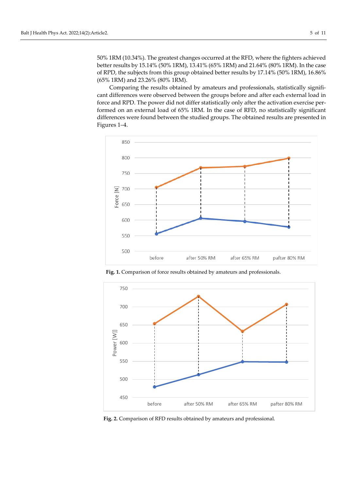50% 1RM (10.34%). The greatest changes occurred at the RFD, where the fighters achieved better results by 15.14% (50% 1RM), 13.41% (65% 1RM) and 21.64% (80% 1RM). In the case of RPD, the subjects from this group obtained better results by 17.14% (50% 1RM), 16.86% (65% 1RM) and 23.26% (80% 1RM).

Comparing the results obtained by amateurs and professionals, statistically significant differences were observed between the groups before and after each external load in force and RPD. The power did not differ statistically only after the activation exercise performed on an external load of 65% 1RM. In the case of RFD, no statistically significant differences were found between the studied groups. The obtained results are presented in Figures 1–4.



**Fig. 1.** Comparison of force results obtained by amateurs and professionals.



**Fig. 2.** Comparison of RFD results obtained by amateurs and professional.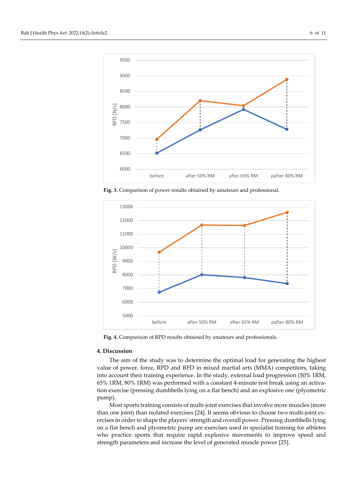

**Fig. 3.** Comparison of power results obtained by amateurs and professional.



**Fig. 4.** Comparison of RPD results obtained by amateurs and professionals.

#### **4. Discussion**

The aim of the study was to determine the optimal load for generating the highest value of power, force, RPD and RFD in mixed martial arts (MMA) competitors, taking into account their training experience. In the study, external load progression (50% 1RM, 65% 1RM, 80% 1RM) was performed with a constant 4-minute rest break using an activation exercise (pressing dumbbells lying on a flat bench) and an explosive one (plyometric pump).

Most sports training consists of multi-joint exercises that involve more muscles (more than one joint) than isolated exercises [24]. It seems obvious to choose two multi-joint exercises in order to shape the players' strength and overall power. Pressing dumbbells lying on a flat bench and plyometric pump are exercises used in specialist training for athletes who practice sports that require rapid explosive movements to improve speed and strength parameters and increase the level of generated muscle power [25].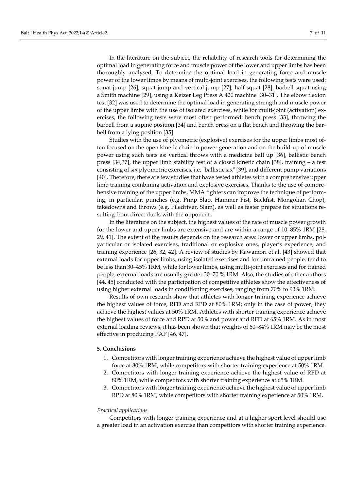In the literature on the subject, the reliability of research tools for determining the optimal load in generating force and muscle power of the lower and upper limbs has been thoroughly analysed. To determine the optimal load in generating force and muscle power of the lower limbs by means of multi-joint exercises, the following tests were used: squat jump [26], squat jump and vertical jump [27], half squat [28], barbell squat using a Smith machine [29], using a Keizer Leg Press A 420 machine [30–31]. The elbow flexion test [32] was used to determine the optimal load in generating strength and muscle power of the upper limbs with the use of isolated exercises, while for multi-joint (activation) exercises, the following tests were most often performed: bench press [33], throwing the barbell from a supine position [34] and bench press on a flat bench and throwing the barbell from a lying position [35].

Studies with the use of plyometric (explosive) exercises for the upper limbs most often focused on the open kinetic chain in power generation and on the build-up of muscle power using such tests as: vertical throws with a medicine ball up [36], ballistic bench press [34,37], the upper limb stability test of a closed kinetic chain [38], training – a test consisting of six plyometric exercises, i.e. "ballistic six" [39], and different pump variations [40]. Therefore, there are few studies that have tested athletes with a comprehensive upper limb training combining activation and explosive exercises. Thanks to the use of comprehensive training of the upper limbs, MMA fighters can improve the technique of performing, in particular, punches (e.g. Pimp Slap, Hammer Fist, Backfist, Mongolian Chop), takedowns and throws (e.g. Piledriver, Slam), as well as faster prepare for situations resulting from direct duels with the opponent.

In the literature on the subject, the highest values of the rate of muscle power growth for the lower and upper limbs are extensive and are within a range of 10–85% 1RM [28, 29, 41]. The extent of the results depends on the research area: lower or upper limbs, polyarticular or isolated exercises, traditional or explosive ones, player's experience, and training experience [26, 32, 42]. A review of studies by Kawamori et al. [43] showed that external loads for upper limbs, using isolated exercises and for untrained people, tend to be less than 30–45% 1RM, while for lower limbs, using multi-joint exercises and for trained people, external loads are usually greater 30–70 % 1RM. Also, the studies of other authors [44, 45] conducted with the participation of competitive athletes show the effectiveness of using higher external loads in conditioning exercises, ranging from 70% to 93% 1RM.

Results of own research show that athletes with longer training experience achieve the highest values of force, RFD and RPD at 80% 1RM; only in the case of power, they achieve the highest values at 50% 1RM. Athletes with shorter training experience achieve the highest values of force and RPD at 50% and power and RFD at 65% 1RM. As in most external loading reviews, it has been shown that weights of 60–84% 1RM may be the most effective in producing PAP [46, 47].

#### **5. Conclusions**

- 1. Competitors with longer training experience achieve the highest value of upper limb force at 80% 1RM, while competitors with shorter training experience at 50% 1RM.
- 2. Competitors with longer training experience achieve the highest value of RFD at 80% 1RM, while competitors with shorter training experience at 65% 1RM.
- 3. Competitors with longer training experience achieve the highest value of upper limb RPD at 80% 1RM, while competitors with shorter training experience at 50% 1RM.

#### *Practical applications*

Competitors with longer training experience and at a higher sport level should use a greater load in an activation exercise than competitors with shorter training experience.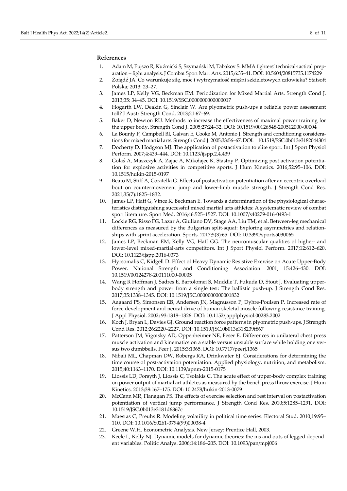#### **References**

- 1. Adam M, Pujszo R, Kuźmicki S, Szymański M, Tabakov S. MMA fighters' technical-tactical preparation – fight analysis. J Combat Sport Mart Arts. 2015;6:35–41. DOI: [10.5604/20815735.1174229](https://doi.org/10.5604/20815735.1174229)
- 2. Żołądź JA. Co warunkuje siłę, moc i wytrzymałość mięśni szkieletowych człowieka? Statsoft Polska; 2013: 23–27.
- 3. James LP, Kelly VG, Beckman EM. Periodization for Mixed Martial Arts. Strength Cond J. 2013;35: 34–45. DOI: [10.1519/SSC.0000000000000017](https://doi.org/10.1519/SSC.0000000000000017)
- 4. Hogarth LW, Deakin G, Sinclair W. Are plyometric push-ups a reliable power assessment toll? J Austr Strength Cond. 2013;21:67–69.
- 5. Baker D, Newton RU. Methods to increase the effectiveness of maximal power training for the upper body. Strength Cond J. 2005;27:24–32. DOI: [10.1519/00126548-200512000-00004](https://doi.org/10.1519/00126548-200512000-00004)
- 6. La Bounty P, Campbell BI, Galvan E, Cooke M, Antonio J. Strength and conditioning considerations for mixed martial arts. Strength Cond J. 2005;33:56–67. DOI: [10.1519/SSC.0b013e3182044304](https://doi.org/10.1519/SSC.0b013e3182044304)
- 7. Docherty D, Hodgson MJ. The application of postactivation to elite sport. Int J Sport Physiol Perform. 2007;4:439–444. DOI[: 10.1123/ijspp.2.4.439](https://doi.org/10.1123/ijspp.2.4.439)
- 8. Gołaś A, Maszczyk A, Zajac A, Mikołajec K, Stastny P. Optimizing post activation potentiation for explosive activities in competitive sports. J Hum Kinetics. 2016;52:95–106. DOI: [10.1515/hukin-2015-0197](https://doi.org/10.1515/hukin-2015-0197)
- 9. Beato M, Stiff A, Coratella G. Effects of postactivation potentiation after an eccentric overload bout on countermovement jump and lower-limb muscle strength. J Strength Cond Res. 2021;35(7):1825–1832.
- 10. James LP, Haff G, Vince K, Beckman E. Towards a determination of the physiological characteristics distinguishing successful mixed martial arts athletes: A systematic review of combat sport literature. Sport Med. 2016;46:525–1527. DOI: [10.1007/s40279-016-0493-1](https://doi.org/10.1007/s40279-016-0493-1)
- 11. Lockie RG, Risso FG, Lazar A, Giuliano DV, Stage AA, Liu TM, et al. Between-leg mechanical differences as measured by the Bulgarian split-squat: Exploring asymmetries and relationships with sprint acceleration. Sports. 2017;5(3):65. DOI: [10.3390/sports5030065](https://doi.org/10.3390/sports5030065)
- 12. James LP, Beckman EM, Kelly VG, Haff GG. The neuromuscular qualities of higher- and lower-level mixed-martial-arts competitors. Int J Sport Physiol Perform. 2017;12:612–620. DOI[: 10.1123/ijspp.2016-0373](https://doi.org/10.1123/ijspp.2016-0373)
- 13. Hyrsomalis C, Kidgell D. Effect of Heavy Dynamic Resistive Exercise on Acute Upper-Body Power. National Strength and Conditioning Association. 2001; 15:426–430. DOI: [10.1519/00124278-200111000-00005](https://doi.org/10.1519/00124278-200111000-00005)
- 14. Wang R Hoffman J, Sadres E, Bartolomei S, Muddle T, Fukuda D, Stout J. Evaluating upperbody strength and power from a single test: The ballistic push-up. J Strength Cond Res. 2017;35:1338–1345. DOI[: 10.1519/JSC.0000000000001832](https://doi.org/10.1519/JSC.0000000000001832)
- 15. Aagaard PS, Simonsen EB, Andersen JN, Magnusson P, Dyhre-Poulsen P. Increased rate of force development and neural drive of human skeletal muscle following resistance training. J Appl Physiol. 2002; 93:1318–1326. DOI[: 10.1152/japplphysiol.00283.2002](https://doi.org/10.1152/japplphysiol.00283.2002)
- 16. Koch J, Bryan L, Davies GJ. Ground reaction force patterns in plyometric push-ups. J Strength Cond Res. 2012;26:2220–2227. DOI: [10.1519/JSC.0b013e318239f867](https://doi.org/10.1519/JSC.0b013e318239f867)
- 17. Patterson JM, Vigotsky AD, Oppenheimer NE, Feser E. Differences in unilateral chest press muscle activation and kinematics on a stable versus unstable surface while holding one versus two dumbbells. Peer J. 2015;3:1365. DOI: [10.7717/peerj.1365](https://doi.org/10.7717/peerj.1365)
- 18. Nibali ML, Chapman DW, Robergs RA, Drinkwater EJ. Considerations for determining the time course of post-activation potentiation. Applied physiology, nutrition, and metabolism. 2015;40:1163–1170. DOI[: 10.1139/apnm-2015-0175](https://doi.org/10.1139/apnm-2015-0175)
- 19. Liossis LD, Forsyth J, Liossis C, Tsolakis C. The acute effect of upper-body complex training on power output of martial art athletes as measured by the bench press throw exercise. J Hum Kinetics. 2013;39:167–175. DOI[: 10.2478/hukin-2013-0079](https://doi.org/10.2478/hukin-2013-0079)
- 20. McCann MR, Flanagan PS. The effects of exercise selection and rest interval on postactivation potentiation of vertical jump performance. J Strength Cond Res. 2010;5:1285–1291. DOI: [10.1519/JSC.0b013e3181d6867c](https://doi.org/10.1519/JSC.0b013e3181d6867c)
- 21. Maestas C, Preuhs R. Modeling volatility in political time series. Electoral Stud. 2010;19:95– 110. DOI[: 10.1016/S0261-3794\(99\)00038-4](https://doi.org/10.1016/S0261-3794(99)00038-4)
- 22. Greene W.H. Econometric Analysis. New Jersey: Prentice Hall, 2003.
- 23. Keele L, Kelly NJ. Dynamic models for dynamic theories: the ins and outs of legged dependent variables. Politic Analys. 2006;14:186–205. DOI[: 10.1093/pan/mpj006](https://doi.org/10.1093/pan/mpj006)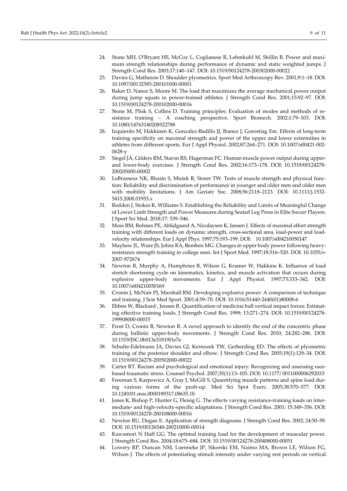- 25. Davies G, Matheson D. Shoulder plyometrics. Sport Med Arthroscopy Rev. 2001;9:1–18. DOI: [10.1097/00132585-200101000-00001](https://doi.org/10.1097/00132585-200101000-00001)
- 26. Baker D, Nance S, Moore M. The load that maximizes the average mechanical power output during jump squats in power-trained athletes. J Strength Cond Res. 2001;15:92–97. DOI: [10.1519/00124278-200102000-00016](https://doi.org/10.1519/00124278-200102000-00016)
- 27. Stone M, Plisk S, Collins D. Training principles: Evaluation of modes and methods of resistance training – A coaching perspective. Sport Biomech. 2002;1:79–103. DOI: [10.1080/14763140208522788](https://doi.org/10.1080/14763140208522788)
- 28. Izquierdo M, Hakkinen K, Gonzalez-Badillo JJ, Ibanez J, Gorostiag Em. Effects of long-term training specificity on maximal strength and power of the upper and lower extremities in athletes from different sports. Eur J Appl Physiol. 2002;87:264–271. DOI: [10.1007/s00421-002-](https://doi.org/10.1007/s00421-002-0628-y) [0628-y](https://doi.org/10.1007/s00421-002-0628-y)
- 29. Siegel JA, Gilders RM, Staron RS, Hagerman FC. Human muscle power output during upperand lower-body exercises. J Strength Cond Res. 2002;16:173–178. DOI: [10.1519/00124278-](https://doi.org/10.1519/00124278-200205000-00002) [200205000-00002](https://doi.org/10.1519/00124278-200205000-00002)
- 30. LeBrasseur NK, Bhasin S, Miciek R, Storer TW. Tests of muscle strength and physical function: Reliability and discrimination of performance in younger and older men and older men with mobility limitations. J Am Geriatr Soc. 2008;56:2118–2123. DOI: [10.1111/j.1532-](https://doi.org/10.1111/j.1532-5415.2008.01953.x) [5415.2008.01953.x](https://doi.org/10.1111/j.1532-5415.2008.01953.x)
- 31. Redden J, Stokes K, Williams S. Establishing the Reliability and Limits of Meaningful Change of Lower Limb Strength and Power Measures during Seated Leg Press in Elite Soccer Players. J Sport Sci Med. 2018;17: 539–546.
- 32. Moss BM, Refsnes PE, Ablidgaard A, Nicolaysen K, Jensen J. Effects of maximal effort strength training with different loads on dynamic strength, cross-sectional area, load-power and loadvelocity relationships. Eur J Appl Phys. 1997;75:193–199. DOI: [10.1007/s004210050147](https://doi.org/10.1007/s004210050147)
- 33. Mayhew JL, Ware JS, Johns RA, Bemben MG. Changes in upper body power following heavyresistance strength training in college men. Int J Sport Med. 1997;18:516–520. DOI[: 10.1055/s-](https://doi.org/10.1055/s-2007-972674)[2007-972674](https://doi.org/10.1055/s-2007-972674)
- 34. Newton R, Murphy A, Humphries B, Wilson G, Kramer W, Hakkine K. Influence of load stretch shortening cycle on kinematics, kinetics, and muscle activation that occurs during explosive upper-body movements. Eur J Appl Physiol. 1997;75:333–342. DOI: [10.1007/s004210050169](https://doi.org/10.1007/s004210050169)
- 35. Cronin J, McNair PJ, Marshall RM. Developing explosive power: A comparison of technique and training. J Scie Med Sport. 2001;4:59–70. DOI: [10.1016/S1440-2440\(01\)80008-6](https://doi.org/10.1016/S1440-2440(01)80008-6)
- 36. Ebben W, Blackard , Jensen R. Quantification of medicine ball vertical impact forces: Estimating effective training loads. J Strength Cond Res. 1999; 13:271–274. DOI: [10.1519/00124278-](https://doi.org/10.1519/00124278-199908000-00015) [199908000-00015](https://doi.org/10.1519/00124278-199908000-00015)
- 37. Frost D, Cronin B, Newton R. A novel approach to identify the end of the concentric phase during ballistic upper-body movements. J Strength Cond Res. 2010; 24:282–286. DOI: [10.1519/JSC.0b013e31819f1e7e](https://doi.org/10.1519/JSC.0b013e31819f1e7e)
- 38. Schulte-Edelmann JA, Davies GJ, Kernozek TW, Gerberding ED. The effects of plyometric training of the posterior shoulder and elbow. J Strength Cond Res. 2005;19(1):129–34. DOI: [10.1519/00124278-200502000-00022](https://doi.org/10.1519/00124278-200502000-00022)
- 39. Carter RT. Racism and psychological and emotional injury: Recognizing and assessing racebased traumatic stress. Counsel Psychol. 2007;35(1):13–105. DOI: 10.1177/ [0011000006292033](https://doi.org/10.1177/0011000006292033)
- 40. Freeman S, Karpowicz A, Gray J, McGill S. Quantifying muscle patterns and spine load during various forms of the push-up. Med Sci Spot Exerc. 2005;38:570–577. DOI: [10.1249/01.mss.0000189317.08635.1b](https://doi.org/10.1249/01.mss.0000189317.08635.1b)
- 41. Jones K, Bishop P, Hunter G, Fleisig G. The effects varying resistance-training loads on intermediate- and high-velocity-specific adaptations. J Strength Cond Res. 2001; 15:349–356. DOI: [10.1519/00124278-200108000-00016](https://doi.org/10.1519/00124278-200108000-00016)
- 42. Newton RU, Dugan E. Application of strength diagnosis. J Strength Cond Res. 2002; 24:50–59. DOI[: 10.1519/00126548-200210000-00014](https://doi.org/10.1519/00126548-200210000-00014)
- 43. Kawamori N Haff GG. The optimal training load for the development of muscular power. J Strength Cond Res. 2004;18:675–684. DOI[: 10.1519/00124278-200408000-00051](https://doi.org/10.1519/00124278-200408000-00051)
- 44. Lowery RP, Duncan NM, Loenneke JP, Sikorski EM, Naimo MA, Brown LE, Wilson FG, Wilson J. The effects of potentiating stimuli intensity under varying rest periods on vertical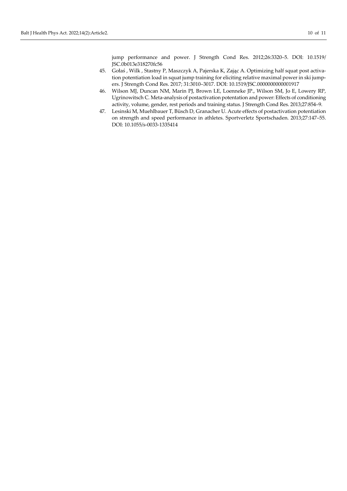jump performance and power. J Strength Cond Res. 2012;26:3320–5. DOI: [10.1519/](https://doi.org/10.1519/JSC.0b013e318270fc56) [JSC.0b013e318270fc56](https://doi.org/10.1519/JSC.0b013e318270fc56)

- 45. Gołaś , Wilk , Stastny P, Maszczyk A, Pajerska K, Zając A. Optimizing half squat post activation potentiation load in squat jump training for eliciting relative maximal power in ski jumpers. J Strength Cond Res. 2017; 31:3010–3017. DOI: [10.1519/JSC.0000000000001917](https://doi.org/10.1519/JSC.0000000000001917)
- 46. Wilson MJ, Duncan NM, Marin PJ, Brown LE, Loenneke JP., Wilson SM, Jo E, Lowery RP, Ugrinowitsch C. Meta-analysis of postactivation potentation and power: Effects of conditioning activity, volume, gender, rest periods and training status. J Strength Cond Res. 2013;27:854–9.
- 47. Lesinski M, Muehlbauer T, Büsch D, Granacher U. Acute effects of postactivation potentiation on strength and speed performance in athletes. Sportverletz Sportschaden. 2013;27:147–55. DOI[: 10.1055/s-0033-1335414](https://doi.org/10.1055/s-0033-1335414)